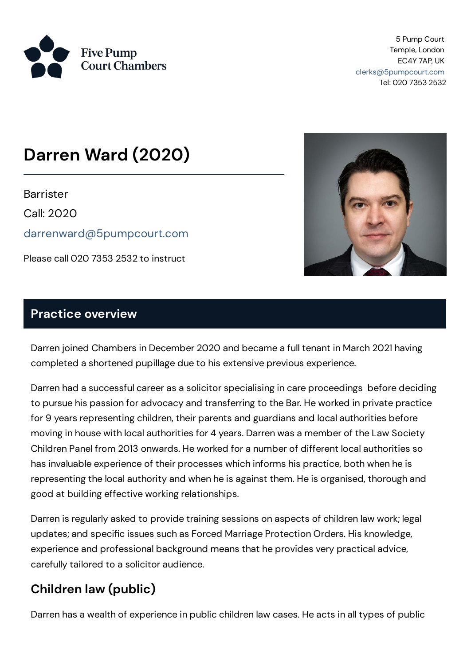

5 Pump Court Temple, London EC4Y 7AP, UK [clerks@5pumpcourt.com](mailto:clerks@5pumpcourt.com) Tel: 020 7353 2532

# **Darren Ward (2020)**

**Barrister** 

Call: 2020

[darrenward@5pumpcourt.com](mailto:darrenward@5pumpcourt.com)

Please call 020 7353 2532 to instruct



#### **Practice overview**

Darren joined Chambers in December 2020 and became a full tenant in March 2021 having completed a shortened pupillage due to his extensive previous experience.

Darren had a successful career as a solicitor specialising in care proceedings before deciding to pursue his passion for advocacy and transferring to the Bar. He worked in private practice for 9 years representing children, their parents and guardians and local authorities before moving in house with local authorities for 4 years. Darren was a member of the Law Society Children Panel from 2013 onwards. He worked for a number of different local authorities so has invaluable experience of their processes which informs his practice, both when he is representing the local authority and when he is against them. He is organised, thorough and good at building effective working relationships.

Darren is regularly asked to provide training sessions on aspects of children law work; legal updates; and specific issues such as Forced Marriage Protection Orders. His knowledge, experience and professional background means that he provides very practical advice, carefully tailored to a solicitor audience.

#### **Children law (public)**

Darren has a wealth of experience in public children law cases. He acts in all types of public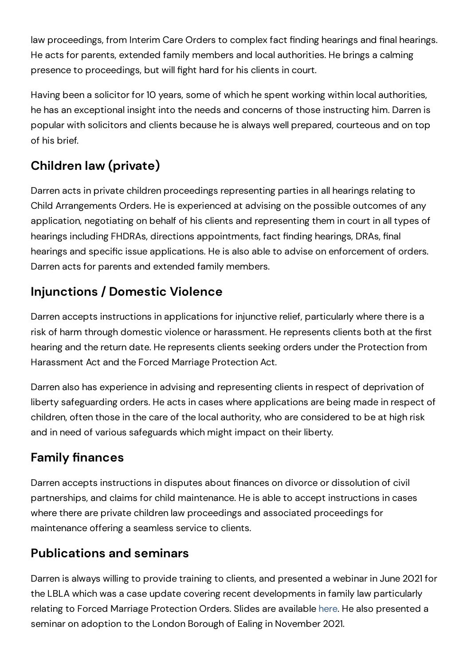law proceedings, from Interim Care Orders to complex fact finding hearings and final hearings. He acts for parents, extended family members and local authorities. He brings a calming presence to proceedings, but will fight hard for his clients in court.

Having been a solicitor for 10 years, some of which he spent working within local authorities, he has an exceptional insight into the needs and concerns of those instructing him. Darren is popular with solicitors and clients because he is always well prepared, courteous and on top of his brief.

### **Children law (private)**

Darren acts in private children proceedings representing parties in all hearings relating to Child Arrangements Orders. He is experienced at advising on the possible outcomes of any application, negotiating on behalf of his clients and representing them in court in all types of hearings including FHDRAs, directions appointments, fact finding hearings, DRAs, final hearings and specific issue applications. He is also able to advise on enforcement of orders. Darren acts for parents and extended family members.

### **Injunctions / Domestic Violence**

Darren accepts instructions in applications for injunctive relief, particularly where there is a risk of harm through domestic violence or harassment. He represents clients both at the first hearing and the return date. He represents clients seeking orders under the Protection from Harassment Act and the Forced Marriage Protection Act.

Darren also has experience in advising and representing clients in respect of deprivation of liberty safeguarding orders. He acts in cases where applications are being made in respect of children, often those in the care of the local authority, who are considered to be at high risk and in need of various safeguards which might impact on their liberty.

### **Family finances**

Darren accepts instructions in disputes about finances on divorce or dissolution of civil partnerships, and claims for child maintenance. He is able to accept instructions in cases where there are private children law proceedings and associated proceedings for maintenance offering a seamless service to clients.

#### **Publications and seminars**

Darren is always willing to provide training to clients, and presented a webinar in June 2021 for the LBLA which was a case update covering recent developments in family law particularly relating to Forced Marriage Protection Orders. Slides are available [here](https://www.5pumpcourt.com/media/wgjbvueq/lbla-webinar-and-case-update-10-june.pptx). He also presented a seminar on adoption to the London Borough of Ealing in November 2021.